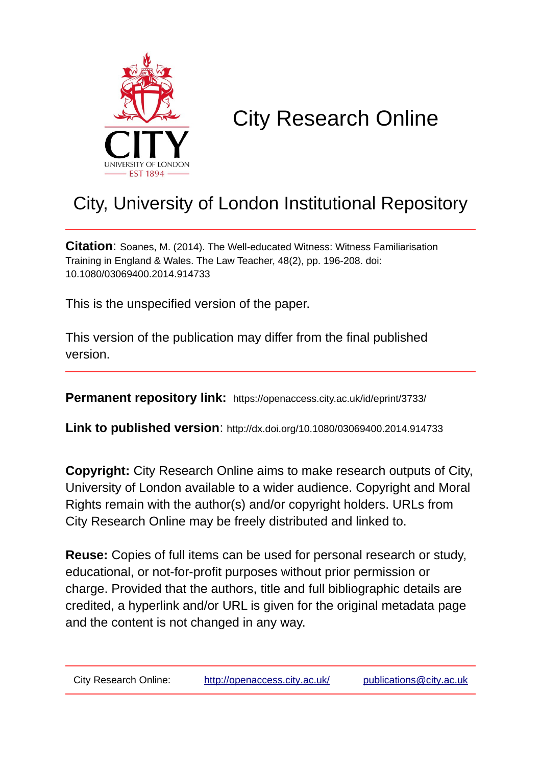

# City Research Online

# City, University of London Institutional Repository

**Citation**: Soanes, M. (2014). The Well-educated Witness: Witness Familiarisation Training in England & Wales. The Law Teacher, 48(2), pp. 196-208. doi: 10.1080/03069400.2014.914733

This is the unspecified version of the paper.

This version of the publication may differ from the final published version.

**Permanent repository link:** https://openaccess.city.ac.uk/id/eprint/3733/

**Link to published version**: http://dx.doi.org/10.1080/03069400.2014.914733

**Copyright:** City Research Online aims to make research outputs of City, University of London available to a wider audience. Copyright and Moral Rights remain with the author(s) and/or copyright holders. URLs from City Research Online may be freely distributed and linked to.

**Reuse:** Copies of full items can be used for personal research or study, educational, or not-for-profit purposes without prior permission or charge. Provided that the authors, title and full bibliographic details are credited, a hyperlink and/or URL is given for the original metadata page and the content is not changed in any way.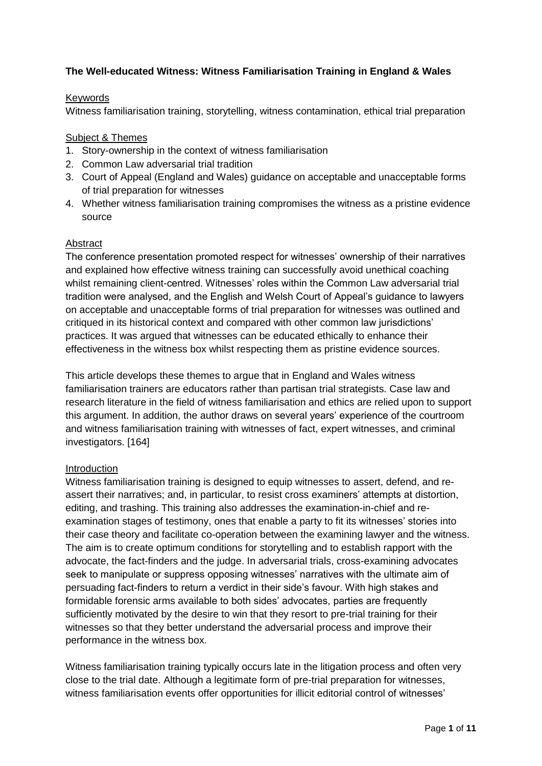# **The Well-educated Witness: Witness Familiarisation Training in England & Wales**

#### **Keywords**

Witness familiarisation training, storytelling, witness contamination, ethical trial preparation

## Subject & Themes

- 1. Story-ownership in the context of witness familiarisation
- 2. Common Law adversarial trial tradition
- 3. Court of Appeal (England and Wales) guidance on acceptable and unacceptable forms of trial preparation for witnesses
- 4. Whether witness familiarisation training compromises the witness as a pristine evidence source

#### Abstract

The conference presentation promoted respect for witnesses' ownership of their narratives and explained how effective witness training can successfully avoid unethical coaching whilst remaining client-centred. Witnesses' roles within the Common Law adversarial trial tradition were analysed, and the English and Welsh Court of Appeal's guidance to lawyers on acceptable and unacceptable forms of trial preparation for witnesses was outlined and critiqued in its historical context and compared with other common law jurisdictions' practices. It was argued that witnesses can be educated ethically to enhance their effectiveness in the witness box whilst respecting them as pristine evidence sources.

This article develops these themes to argue that in England and Wales witness familiarisation trainers are educators rather than partisan trial strategists. Case law and research literature in the field of witness familiarisation and ethics are relied upon to support this argument. In addition, the author draws on several years' experience of the courtroom and witness familiarisation training with witnesses of fact, expert witnesses, and criminal investigators. [164]

#### Introduction

Witness familiarisation training is designed to equip witnesses to assert, defend, and reassert their narratives; and, in particular, to resist cross examiners' attempts at distortion, editing, and trashing. This training also addresses the examination-in-chief and reexamination stages of testimony, ones that enable a party to fit its witnesses' stories into their case theory and facilitate co-operation between the examining lawyer and the witness. The aim is to create optimum conditions for storytelling and to establish rapport with the advocate, the fact-finders and the judge. In adversarial trials, cross-examining advocates seek to manipulate or suppress opposing witnesses' narratives with the ultimate aim of persuading fact-finders to return a verdict in their side's favour. With high stakes and formidable forensic arms available to both sides' advocates, parties are frequently sufficiently motivated by the desire to win that they resort to pre-trial training for their witnesses so that they better understand the adversarial process and improve their performance in the witness box.

Witness familiarisation training typically occurs late in the litigation process and often very close to the trial date. Although a legitimate form of pre-trial preparation for witnesses, witness familiarisation events offer opportunities for illicit editorial control of witnesses'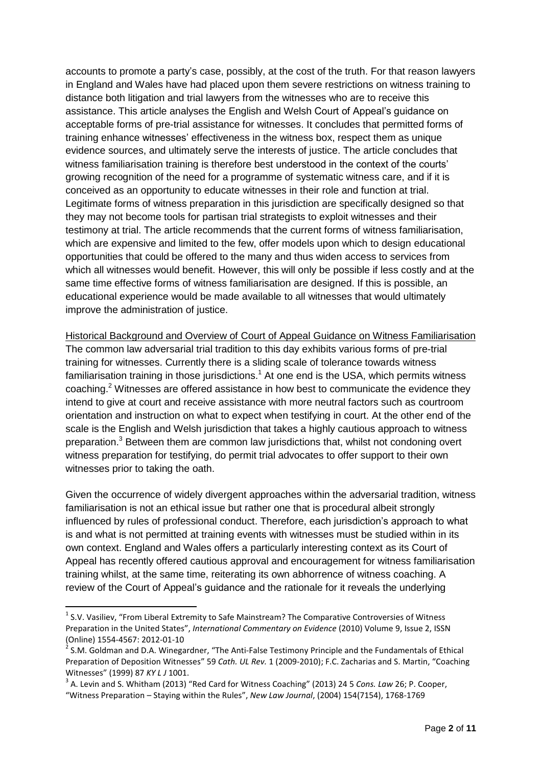accounts to promote a party's case, possibly, at the cost of the truth. For that reason lawyers in England and Wales have had placed upon them severe restrictions on witness training to distance both litigation and trial lawyers from the witnesses who are to receive this assistance. This article analyses the English and Welsh Court of Appeal's guidance on acceptable forms of pre-trial assistance for witnesses. It concludes that permitted forms of training enhance witnesses' effectiveness in the witness box, respect them as unique evidence sources, and ultimately serve the interests of justice. The article concludes that witness familiarisation training is therefore best understood in the context of the courts' growing recognition of the need for a programme of systematic witness care, and if it is conceived as an opportunity to educate witnesses in their role and function at trial. Legitimate forms of witness preparation in this jurisdiction are specifically designed so that they may not become tools for partisan trial strategists to exploit witnesses and their testimony at trial. The article recommends that the current forms of witness familiarisation, which are expensive and limited to the few, offer models upon which to design educational opportunities that could be offered to the many and thus widen access to services from which all witnesses would benefit. However, this will only be possible if less costly and at the same time effective forms of witness familiarisation are designed. If this is possible, an educational experience would be made available to all witnesses that would ultimately improve the administration of justice.

Historical Background and Overview of Court of Appeal Guidance on Witness Familiarisation The common law adversarial trial tradition to this day exhibits various forms of pre-trial training for witnesses. Currently there is a sliding scale of tolerance towards witness familiarisation training in those jurisdictions.<sup>1</sup> At one end is the USA, which permits witness coaching.<sup>2</sup> Witnesses are offered assistance in how best to communicate the evidence they intend to give at court and receive assistance with more neutral factors such as courtroom orientation and instruction on what to expect when testifying in court. At the other end of the scale is the English and Welsh jurisdiction that takes a highly cautious approach to witness preparation.<sup>3</sup> Between them are common law jurisdictions that, whilst not condoning overt witness preparation for testifying, do permit trial advocates to offer support to their own witnesses prior to taking the oath.

Given the occurrence of widely divergent approaches within the adversarial tradition, witness familiarisation is not an ethical issue but rather one that is procedural albeit strongly influenced by rules of professional conduct. Therefore, each jurisdiction's approach to what is and what is not permitted at training events with witnesses must be studied within in its own context. England and Wales offers a particularly interesting context as its Court of Appeal has recently offered cautious approval and encouragement for witness familiarisation training whilst, at the same time, reiterating its own abhorrence of witness coaching. A review of the Court of Appeal's guidance and the rationale for it reveals the underlying

 $<sup>1</sup>$  S.V. Vasiliev, "From Liberal Extremity to Safe Mainstream? The Comparative Controversies of Witness</sup> Preparation in the United States", *International Commentary on Evidence* (2010) Volume 9, Issue 2, ISSN (Online) 1554-4567: 2012-01-10

<sup>&</sup>lt;sup>2</sup> S.M. Goldman and D.A. Winegardner, "The Anti-False Testimony Principle and the Fundamentals of Ethical Preparation of Deposition Witnesses" 59 *Cath. UL Rev.* 1 (2009-2010); F.C. Zacharias and S. Martin, "Coaching Witnesses" (1999) 87 *KY L J* 1001.

<sup>3</sup> A. Levin and S. Whitham (2013) "Red Card for Witness Coaching" (2013) 24 5 *Cons. Law* 26; P. Cooper, "Witness Preparation – Staying within the Rules", *New Law Journal*, (2004) 154(7154), 1768-1769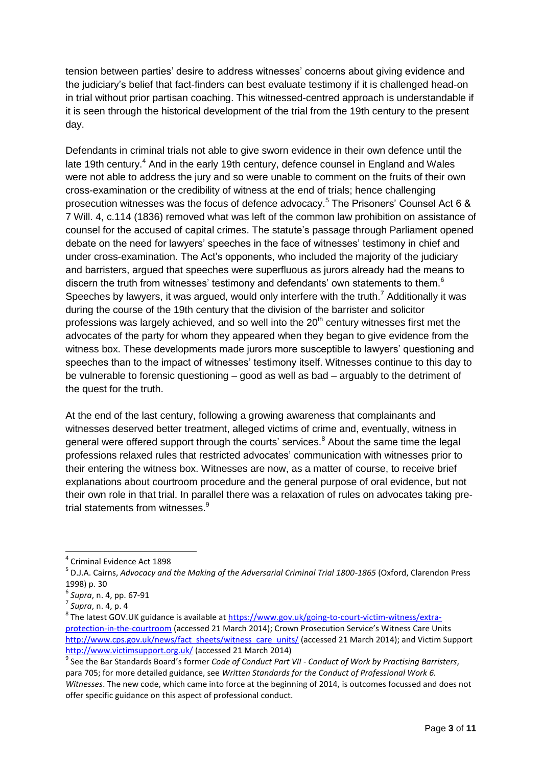tension between parties' desire to address witnesses' concerns about giving evidence and the judiciary's belief that fact-finders can best evaluate testimony if it is challenged head-on in trial without prior partisan coaching. This witnessed-centred approach is understandable if it is seen through the historical development of the trial from the 19th century to the present day.

Defendants in criminal trials not able to give sworn evidence in their own defence until the late 19th century.<sup>4</sup> And in the early 19th century, defence counsel in England and Wales were not able to address the jury and so were unable to comment on the fruits of their own cross-examination or the credibility of witness at the end of trials; hence challenging prosecution witnesses was the focus of defence advocacy.<sup>5</sup> The Prisoners' Counsel Act 6 & 7 Will. 4, c.114 (1836) removed what was left of the common law prohibition on assistance of counsel for the accused of capital crimes. The statute's passage through Parliament opened debate on the need for lawyers' speeches in the face of witnesses' testimony in chief and under cross-examination. The Act's opponents, who included the majority of the judiciary and barristers, argued that speeches were superfluous as jurors already had the means to discern the truth from witnesses' testimony and defendants' own statements to them.<sup>6</sup> Speeches by lawyers, it was argued, would only interfere with the truth.<sup>7</sup> Additionally it was during the course of the 19th century that the division of the barrister and solicitor professions was largely achieved, and so well into the  $20<sup>th</sup>$  century witnesses first met the advocates of the party for whom they appeared when they began to give evidence from the witness box. These developments made jurors more susceptible to lawyers' questioning and speeches than to the impact of witnesses' testimony itself. Witnesses continue to this day to be vulnerable to forensic questioning – good as well as bad – arguably to the detriment of the quest for the truth.

At the end of the last century, following a growing awareness that complainants and witnesses deserved better treatment, alleged victims of crime and, eventually, witness in general were offered support through the courts' services.<sup>8</sup> About the same time the legal professions relaxed rules that restricted advocates' communication with witnesses prior to their entering the witness box. Witnesses are now, as a matter of course, to receive brief explanations about courtroom procedure and the general purpose of oral evidence, but not their own role in that trial. In parallel there was a relaxation of rules on advocates taking pretrial statements from witnesses.<sup>9</sup>

1

<sup>4</sup> Criminal Evidence Act 1898

<sup>5</sup> D.J.A. Cairns, *Advocacy and the Making of the Adversarial Criminal Trial 1800-1865* (Oxford, Clarendon Press 1998) p. 30

<sup>6</sup> *Supra*, n. 4, pp. 67-91

<sup>7</sup> *Supra*, n. 4, p. 4

<sup>&</sup>lt;sup>8</sup> The latest GOV.UK guidance is available at [https://www.gov.uk/going-to-court-victim-witness/extra](https://www.gov.uk/going-to-court-victim-witness/extra-protection-in-the-courtroom)[protection-in-the-courtroom](https://www.gov.uk/going-to-court-victim-witness/extra-protection-in-the-courtroom) (accessed 21 March 2014); Crown Prosecution Service's Witness Care Units [http://www.cps.gov.uk/news/fact\\_sheets/witness\\_care\\_units/](http://www.cps.gov.uk/news/fact_sheets/witness_care_units/) (accessed 21 March 2014); and Victim Support <http://www.victimsupport.org.uk/> (accessed 21 March 2014)

<sup>9</sup> See the Bar Standards Board's former *Code of Conduct Part VII - Conduct of Work by Practising Barristers*, para 705; for more detailed guidance, see *Written Standards for the Conduct of Professional Work 6. Witnesses*. The new code, which came into force at the beginning of 2014, is outcomes focussed and does not offer specific guidance on this aspect of professional conduct.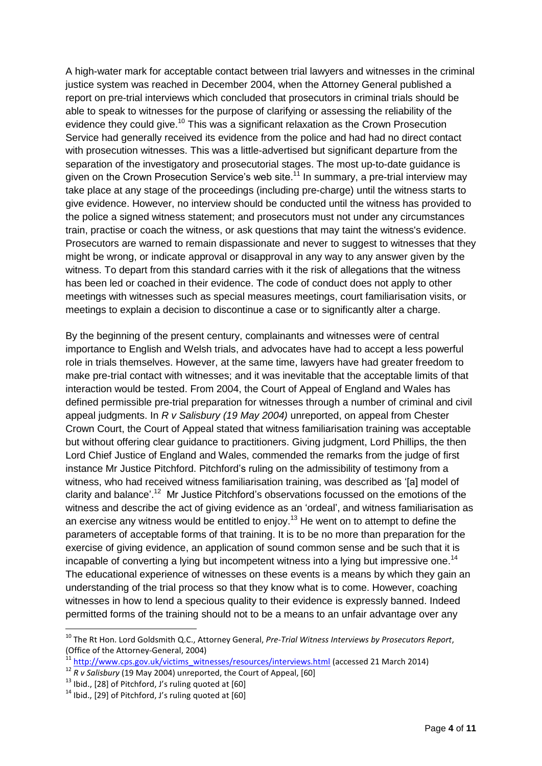A high-water mark for acceptable contact between trial lawyers and witnesses in the criminal justice system was reached in December 2004, when the Attorney General published a report on pre-trial interviews which concluded that prosecutors in criminal trials should be able to speak to witnesses for the purpose of clarifying or assessing the reliability of the evidence they could give.<sup>10</sup> This was a significant relaxation as the Crown Prosecution Service had generally received its evidence from the police and had had no direct contact with prosecution witnesses. This was a little-advertised but significant departure from the separation of the investigatory and prosecutorial stages. The most up-to-date guidance is given on the Crown Prosecution Service's web site.<sup>11</sup> In summary, a pre-trial interview may take place at any stage of the proceedings (including pre-charge) until the witness starts to give evidence. However, no interview should be conducted until the witness has provided to the police a signed witness statement; and prosecutors must not under any circumstances train, practise or coach the witness, or ask questions that may taint the witness's evidence. Prosecutors are warned to remain dispassionate and never to suggest to witnesses that they might be wrong, or indicate approval or disapproval in any way to any answer given by the witness. To depart from this standard carries with it the risk of allegations that the witness has been led or coached in their evidence. The code of conduct does not apply to other meetings with witnesses such as special measures meetings, court familiarisation visits, or meetings to explain a decision to discontinue a case or to significantly alter a charge.

By the beginning of the present century, complainants and witnesses were of central importance to English and Welsh trials, and advocates have had to accept a less powerful role in trials themselves. However, at the same time, lawyers have had greater freedom to make pre-trial contact with witnesses; and it was inevitable that the acceptable limits of that interaction would be tested. From 2004, the Court of Appeal of England and Wales has defined permissible pre-trial preparation for witnesses through a number of criminal and civil appeal judgments. In *R v Salisbury (19 May 2004)* unreported, on appeal from Chester Crown Court, the Court of Appeal stated that witness familiarisation training was acceptable but without offering clear guidance to practitioners. Giving judgment, Lord Phillips, the then Lord Chief Justice of England and Wales, commended the remarks from the judge of first instance Mr Justice Pitchford. Pitchford's ruling on the admissibility of testimony from a witness, who had received witness familiarisation training, was described as '[a] model of clarity and balance'.<sup>12</sup> Mr Justice Pitchford's observations focussed on the emotions of the witness and describe the act of giving evidence as an 'ordeal', and witness familiarisation as an exercise any witness would be entitled to enjoy.<sup>13</sup> He went on to attempt to define the parameters of acceptable forms of that training. It is to be no more than preparation for the exercise of giving evidence, an application of sound common sense and be such that it is incapable of converting a lying but incompetent witness into a lying but impressive one.<sup>14</sup> The educational experience of witnesses on these events is a means by which they gain an understanding of the trial process so that they know what is to come. However, coaching witnesses in how to lend a specious quality to their evidence is expressly banned. Indeed permitted forms of the training should not to be a means to an unfair advantage over any

<sup>10</sup> The Rt Hon. Lord Goldsmith Q.C., Attorney General, *Pre-Trial Witness Interviews by Prosecutors Report*, (Office of the Attorney-General, 2004)

<sup>&</sup>lt;sup>11</sup> [http://www.cps.gov.uk/victims\\_witnesses/resources/interviews.html](http://www.cps.gov.uk/victims_witnesses/resources/interviews.html) (accessed 21 March 2014)

<sup>12</sup> *R v Salisbury* (19 May 2004) unreported, the Court of Appeal, [60]

 $13$  Ibid., [28] of Pitchford, J's ruling quoted at [60]

 $14$  Ibid., [29] of Pitchford, J's ruling quoted at [60]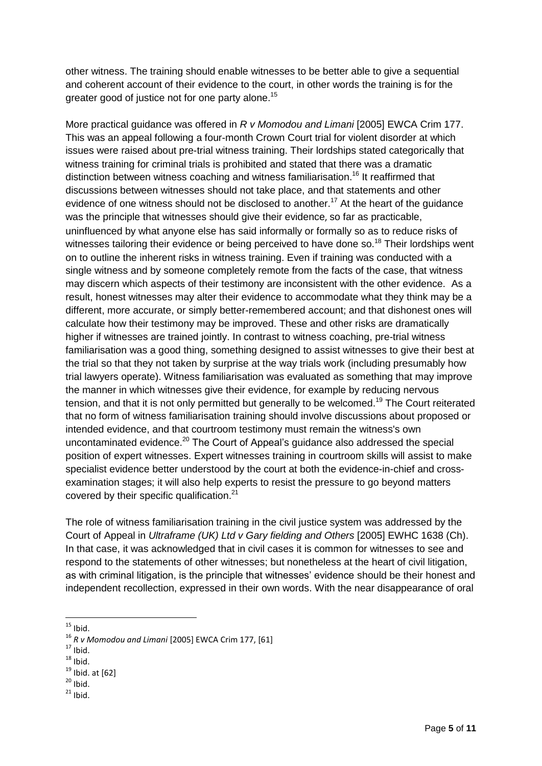other witness. The training should enable witnesses to be better able to give a sequential and coherent account of their evidence to the court, in other words the training is for the greater good of justice not for one party alone.<sup>15</sup>

More practical guidance was offered in *R v Momodou and Limani* [2005] EWCA Crim 177. This was an appeal following a four-month Crown Court trial for violent disorder at which issues were raised about pre-trial witness training. Their lordships stated categorically that witness training for criminal trials is prohibited and stated that there was a dramatic distinction between witness coaching and witness familiarisation.<sup>16</sup> It reaffirmed that discussions between witnesses should not take place, and that statements and other evidence of one witness should not be disclosed to another.<sup>17</sup> At the heart of the guidance was the principle that witnesses should give their evidence, so far as practicable, uninfluenced by what anyone else has said informally or formally so as to reduce risks of witnesses tailoring their evidence or being perceived to have done so.<sup>18</sup> Their lordships went on to outline the inherent risks in witness training. Even if training was conducted with a single witness and by someone completely remote from the facts of the case, that witness may discern which aspects of their testimony are inconsistent with the other evidence. As a result, honest witnesses may alter their evidence to accommodate what they think may be a different, more accurate, or simply better-remembered account; and that dishonest ones will calculate how their testimony may be improved. These and other risks are dramatically higher if witnesses are trained jointly. In contrast to witness coaching, pre-trial witness familiarisation was a good thing, something designed to assist witnesses to give their best at the trial so that they not taken by surprise at the way trials work (including presumably how trial lawyers operate). Witness familiarisation was evaluated as something that may improve the manner in which witnesses give their evidence, for example by reducing nervous tension, and that it is not only permitted but generally to be welcomed.<sup>19</sup> The Court reiterated that no form of witness familiarisation training should involve discussions about proposed or intended evidence, and that courtroom testimony must remain the witness's own uncontaminated evidence.<sup>20</sup> The Court of Appeal's guidance also addressed the special position of expert witnesses. Expert witnesses training in courtroom skills will assist to make specialist evidence better understood by the court at both the evidence-in-chief and crossexamination stages; it will also help experts to resist the pressure to go beyond matters covered by their specific qualification.<sup>21</sup>

The role of witness familiarisation training in the civil justice system was addressed by the Court of Appeal in *Ultraframe (UK) Ltd v Gary fielding and Others* [2005] EWHC 1638 (Ch). In that case, it was acknowledged that in civil cases it is common for witnesses to see and respond to the statements of other witnesses; but nonetheless at the heart of civil litigation, as with criminal litigation, is the principle that witnesses' evidence should be their honest and independent recollection, expressed in their own words. With the near disappearance of oral

- $^{20}$  Ibid.
- $21$  Ibid.

 $\overline{a}$  $15$  Ibid.

<sup>16</sup> *R v Momodou and Limani* [2005] EWCA Crim 177, [61]

 $17$  Ibid.

 $18$  Ibid.

 $19$  Ibid. at [62]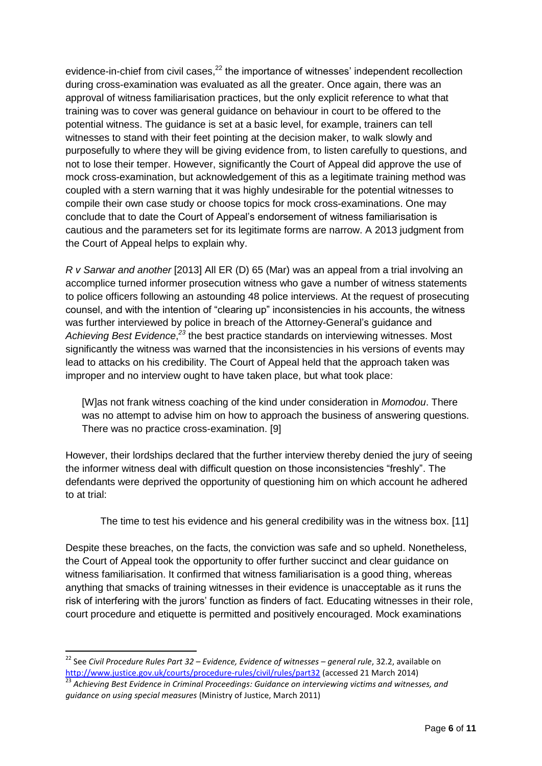evidence-in-chief from civil cases,<sup>22</sup> the importance of witnesses' independent recollection during cross-examination was evaluated as all the greater. Once again, there was an approval of witness familiarisation practices, but the only explicit reference to what that training was to cover was general guidance on behaviour in court to be offered to the potential witness. The guidance is set at a basic level, for example, trainers can tell witnesses to stand with their feet pointing at the decision maker, to walk slowly and purposefully to where they will be giving evidence from, to listen carefully to questions, and not to lose their temper. However, significantly the Court of Appeal did approve the use of mock cross-examination, but acknowledgement of this as a legitimate training method was coupled with a stern warning that it was highly undesirable for the potential witnesses to compile their own case study or choose topics for mock cross-examinations. One may conclude that to date the Court of Appeal's endorsement of witness familiarisation is cautious and the parameters set for its legitimate forms are narrow. A 2013 judgment from the Court of Appeal helps to explain why.

*R v Sarwar and another* [2013] All ER (D) 65 (Mar) was an appeal from a trial involving an accomplice turned informer prosecution witness who gave a number of witness statements to police officers following an astounding 48 police interviews. At the request of prosecuting counsel, and with the intention of "clearing up" inconsistencies in his accounts, the witness was further interviewed by police in breach of the Attorney-General's guidance and Achieving Best Evidence,<sup>23</sup> the best practice standards on interviewing witnesses. Most significantly the witness was warned that the inconsistencies in his versions of events may lead to attacks on his credibility. The Court of Appeal held that the approach taken was improper and no interview ought to have taken place, but what took place:

[W]as not frank witness coaching of the kind under consideration in *Momodou*. There was no attempt to advise him on how to approach the business of answering questions. There was no practice cross-examination. [9]

However, their lordships declared that the further interview thereby denied the jury of seeing the informer witness deal with difficult question on those inconsistencies "freshly". The defendants were deprived the opportunity of questioning him on which account he adhered to at trial:

The time to test his evidence and his general credibility was in the witness box. [11]

Despite these breaches, on the facts, the conviction was safe and so upheld. Nonetheless, the Court of Appeal took the opportunity to offer further succinct and clear guidance on witness familiarisation. It confirmed that witness familiarisation is a good thing, whereas anything that smacks of training witnesses in their evidence is unacceptable as it runs the risk of interfering with the jurors' function as finders of fact. Educating witnesses in their role, court procedure and etiquette is permitted and positively encouraged. Mock examinations

<sup>22</sup> See *Civil Procedure Rules Part 32 – Evidence, Evidence of witnesses – general rule*, 32.2, available on <http://www.justice.gov.uk/courts/procedure-rules/civil/rules/part32> (accessed 21 March 2014)

<sup>23</sup> *Achieving Best Evidence in Criminal Proceedings: Guidance on interviewing victims and witnesses, and guidance on using special measures* (Ministry of Justice, March 2011)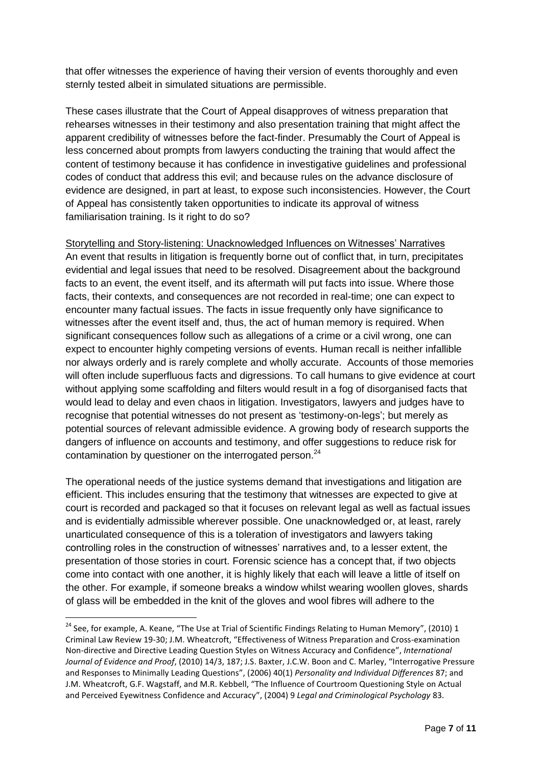that offer witnesses the experience of having their version of events thoroughly and even sternly tested albeit in simulated situations are permissible.

These cases illustrate that the Court of Appeal disapproves of witness preparation that rehearses witnesses in their testimony and also presentation training that might affect the apparent credibility of witnesses before the fact-finder. Presumably the Court of Appeal is less concerned about prompts from lawyers conducting the training that would affect the content of testimony because it has confidence in investigative guidelines and professional codes of conduct that address this evil; and because rules on the advance disclosure of evidence are designed, in part at least, to expose such inconsistencies. However, the Court of Appeal has consistently taken opportunities to indicate its approval of witness familiarisation training. Is it right to do so?

# Storytelling and Story-listening: Unacknowledged Influences on Witnesses' Narratives

An event that results in litigation is frequently borne out of conflict that, in turn, precipitates evidential and legal issues that need to be resolved. Disagreement about the background facts to an event, the event itself, and its aftermath will put facts into issue. Where those facts, their contexts, and consequences are not recorded in real-time; one can expect to encounter many factual issues. The facts in issue frequently only have significance to witnesses after the event itself and, thus, the act of human memory is required. When significant consequences follow such as allegations of a crime or a civil wrong, one can expect to encounter highly competing versions of events. Human recall is neither infallible nor always orderly and is rarely complete and wholly accurate. Accounts of those memories will often include superfluous facts and digressions. To call humans to give evidence at court without applying some scaffolding and filters would result in a fog of disorganised facts that would lead to delay and even chaos in litigation. Investigators, lawyers and judges have to recognise that potential witnesses do not present as 'testimony-on-legs'; but merely as potential sources of relevant admissible evidence. A growing body of research supports the dangers of influence on accounts and testimony, and offer suggestions to reduce risk for contamination by questioner on the interrogated person.<sup>24</sup>

The operational needs of the justice systems demand that investigations and litigation are efficient. This includes ensuring that the testimony that witnesses are expected to give at court is recorded and packaged so that it focuses on relevant legal as well as factual issues and is evidentially admissible wherever possible. One unacknowledged or, at least, rarely unarticulated consequence of this is a toleration of investigators and lawyers taking controlling roles in the construction of witnesses' narratives and, to a lesser extent, the presentation of those stories in court. Forensic science has a concept that, if two objects come into contact with one another, it is highly likely that each will leave a little of itself on the other. For example, if someone breaks a window whilst wearing woollen gloves, shards of glass will be embedded in the knit of the gloves and wool fibres will adhere to the

 $\overline{a}$ 

<sup>&</sup>lt;sup>24</sup> See, for example, A. Keane, "The Use at Trial of Scientific Findings Relating to Human Memory", (2010) 1 Criminal Law Review 19-30; J.M. Wheatcroft, "Effectiveness of Witness Preparation and Cross-examination Non-directive and Directive Leading Question Styles on Witness Accuracy and Confidence", *International Journal of Evidence and Proof*, (2010) 14/3, 187; J.S. Baxter, J.C.W. Boon and C. Marley, "Interrogative Pressure and Responses to Minimally Leading Questions", (2006) 40(1) *Personality and Individual Differences* 87; and J.M. Wheatcroft, G.F. Wagstaff, and M.R. Kebbell, "The Influence of Courtroom Questioning Style on Actual and Perceived Eyewitness Confidence and Accuracy", (2004) 9 *Legal and Criminological Psychology* 83.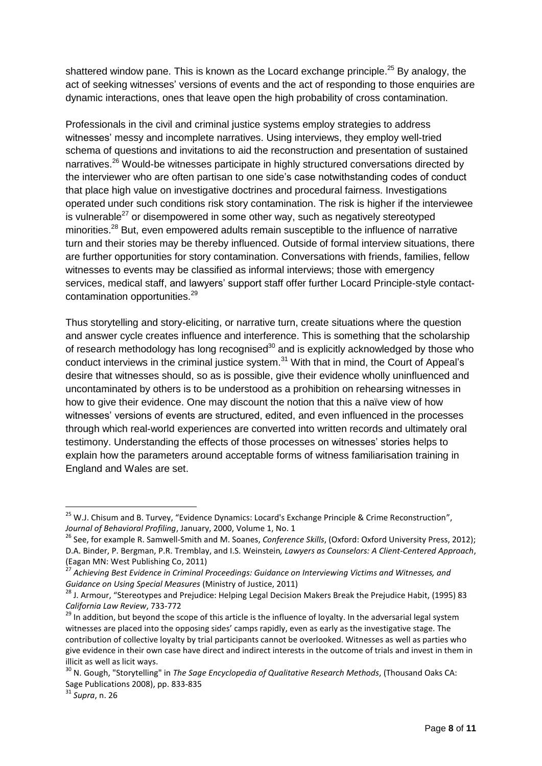shattered window pane. This is known as the Locard exchange principle.<sup>25</sup> By analogy, the act of seeking witnesses' versions of events and the act of responding to those enquiries are dynamic interactions, ones that leave open the high probability of cross contamination.

Professionals in the civil and criminal justice systems employ strategies to address witnesses' messy and incomplete narratives. Using interviews, they employ well-tried schema of questions and invitations to aid the reconstruction and presentation of sustained narratives.<sup>26</sup> Would-be witnesses participate in highly structured conversations directed by the interviewer who are often partisan to one side's case notwithstanding codes of conduct that place high value on investigative doctrines and procedural fairness. Investigations operated under such conditions risk story contamination. The risk is higher if the interviewee is vulnerable $^{27}$  or disempowered in some other way, such as negatively stereotyped minorities.<sup>28</sup> But, even empowered adults remain susceptible to the influence of narrative turn and their stories may be thereby influenced. Outside of formal interview situations, there are further opportunities for story contamination. Conversations with friends, families, fellow witnesses to events may be classified as informal interviews; those with emergency services, medical staff, and lawyers' support staff offer further Locard Principle-style contactcontamination opportunities.<sup>29</sup>

Thus storytelling and story-eliciting, or narrative turn, create situations where the question and answer cycle creates influence and interference. This is something that the scholarship of research methodology has long recognised<sup>30</sup> and is explicitly acknowledged by those who conduct interviews in the criminal justice system.<sup>31</sup> With that in mind, the Court of Appeal's desire that witnesses should, so as is possible, give their evidence wholly uninfluenced and uncontaminated by others is to be understood as a prohibition on rehearsing witnesses in how to give their evidence. One may discount the notion that this a naïve view of how witnesses' versions of events are structured, edited, and even influenced in the processes through which real-world experiences are converted into written records and ultimately oral testimony. Understanding the effects of those processes on witnesses' stories helps to explain how the parameters around acceptable forms of witness familiarisation training in England and Wales are set.

<sup>&</sup>lt;sup>25</sup> W.J. Chisum and B. Turvey, "Evidence Dynamics: Locard's Exchange Principle & Crime Reconstruction", *Journal of Behavioral Profiling*, January, 2000, Volume 1, No. 1

<sup>26</sup> See, for example R. Samwell-Smith and M. Soanes, *Conference Skills*, (Oxford: Oxford University Press, 2012); D.A. Binder, P. Bergman, P.R. Tremblay, and I.S. Weinstein*, Lawyers as Counselors: A Client-Centered Approach*, (Eagan MN: West Publishing Co, 2011)

<sup>&</sup>lt;sup>27</sup> Achieving Best Evidence in Criminal Proceedings: Guidance on Interviewing Victims and Witnesses, and *Guidance on Using Special Measures* (Ministry of Justice, 2011)

<sup>&</sup>lt;sup>28</sup> J. Armour, "Stereotypes and Prejudice: Helping Legal Decision Makers Break the Prejudice Habit, (1995) 83 *California Law Review*, 733-772

<sup>&</sup>lt;sup>29</sup> In addition, but beyond the scope of this article is the influence of loyalty. In the adversarial legal system witnesses are placed into the opposing sides' camps rapidly, even as early as the investigative stage. The contribution of collective loyalty by trial participants cannot be overlooked. Witnesses as well as parties who give evidence in their own case have direct and indirect interests in the outcome of trials and invest in them in illicit as well as licit ways.

<sup>30</sup> N. Gough, "Storytelling" in *The Sage Encyclopedia of Qualitative Research Methods*, (Thousand Oaks CA: Sage Publications 2008), pp. 833-835

<sup>31</sup> *Supra*, n. 26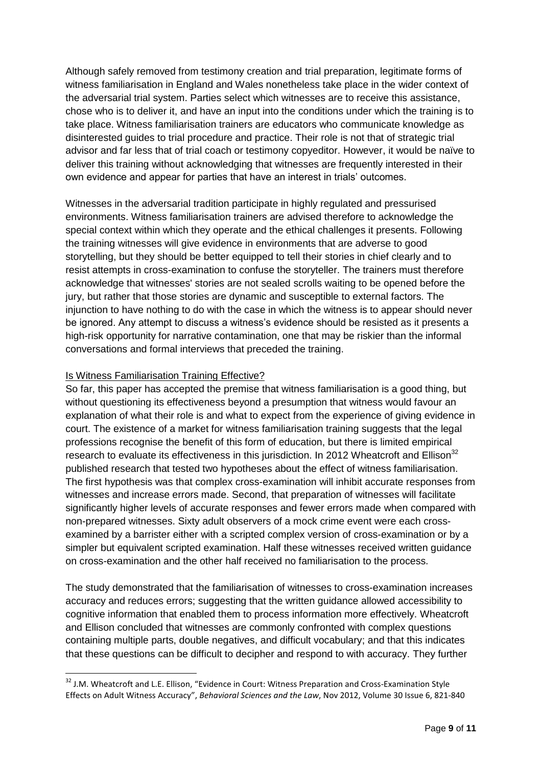Although safely removed from testimony creation and trial preparation, legitimate forms of witness familiarisation in England and Wales nonetheless take place in the wider context of the adversarial trial system. Parties select which witnesses are to receive this assistance, chose who is to deliver it, and have an input into the conditions under which the training is to take place. Witness familiarisation trainers are educators who communicate knowledge as disinterested guides to trial procedure and practice. Their role is not that of strategic trial advisor and far less that of trial coach or testimony copyeditor. However, it would be naïve to deliver this training without acknowledging that witnesses are frequently interested in their own evidence and appear for parties that have an interest in trials' outcomes.

Witnesses in the adversarial tradition participate in highly regulated and pressurised environments. Witness familiarisation trainers are advised therefore to acknowledge the special context within which they operate and the ethical challenges it presents. Following the training witnesses will give evidence in environments that are adverse to good storytelling, but they should be better equipped to tell their stories in chief clearly and to resist attempts in cross-examination to confuse the storyteller. The trainers must therefore acknowledge that witnesses' stories are not sealed scrolls waiting to be opened before the jury, but rather that those stories are dynamic and susceptible to external factors. The injunction to have nothing to do with the case in which the witness is to appear should never be ignored. Any attempt to discuss a witness's evidence should be resisted as it presents a high-risk opportunity for narrative contamination, one that may be riskier than the informal conversations and formal interviews that preceded the training.

## Is Witness Familiarisation Training Effective?

**.** 

So far, this paper has accepted the premise that witness familiarisation is a good thing, but without questioning its effectiveness beyond a presumption that witness would favour an explanation of what their role is and what to expect from the experience of giving evidence in court. The existence of a market for witness familiarisation training suggests that the legal professions recognise the benefit of this form of education, but there is limited empirical research to evaluate its effectiveness in this jurisdiction. In 2012 Wheatcroft and Ellison<sup>32</sup> published research that tested two hypotheses about the effect of witness familiarisation. The first hypothesis was that complex cross-examination will inhibit accurate responses from witnesses and increase errors made. Second, that preparation of witnesses will facilitate significantly higher levels of accurate responses and fewer errors made when compared with non-prepared witnesses. Sixty adult observers of a mock crime event were each crossexamined by a barrister either with a scripted complex version of cross-examination or by a simpler but equivalent scripted examination. Half these witnesses received written guidance on cross-examination and the other half received no familiarisation to the process.

The study demonstrated that the familiarisation of witnesses to cross-examination increases accuracy and reduces errors; suggesting that the written guidance allowed accessibility to cognitive information that enabled them to process information more effectively. Wheatcroft and Ellison concluded that witnesses are commonly confronted with complex questions containing multiple parts, double negatives, and difficult vocabulary; and that this indicates that these questions can be difficult to decipher and respond to with accuracy. They further

<sup>&</sup>lt;sup>32</sup> J.M. Wheatcroft and L.E. Ellison, "Evidence in Court: Witness Preparation and Cross-Examination Style Effects on Adult Witness Accuracy", *Behavioral Sciences and the Law*, Nov 2012, Volume 30 Issue 6, 821-840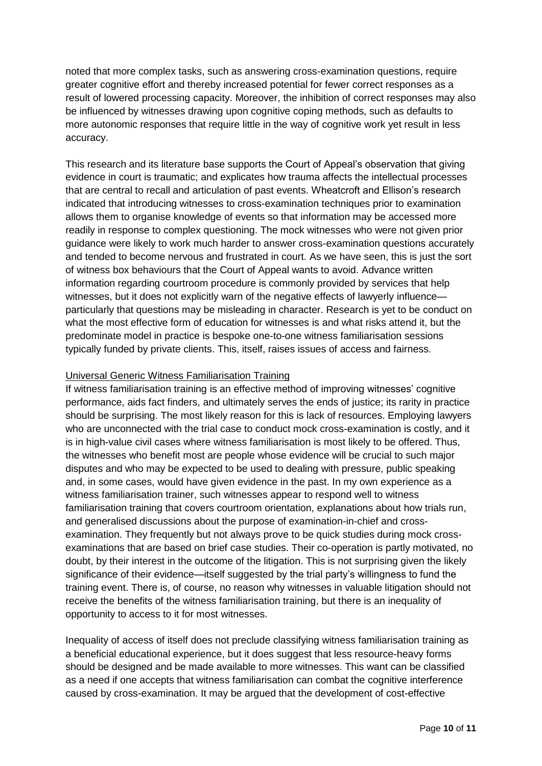noted that more complex tasks, such as answering cross-examination questions, require greater cognitive effort and thereby increased potential for fewer correct responses as a result of lowered processing capacity. Moreover, the inhibition of correct responses may also be influenced by witnesses drawing upon cognitive coping methods, such as defaults to more autonomic responses that require little in the way of cognitive work yet result in less accuracy.

This research and its literature base supports the Court of Appeal's observation that giving evidence in court is traumatic; and explicates how trauma affects the intellectual processes that are central to recall and articulation of past events. Wheatcroft and Ellison's research indicated that introducing witnesses to cross-examination techniques prior to examination allows them to organise knowledge of events so that information may be accessed more readily in response to complex questioning. The mock witnesses who were not given prior guidance were likely to work much harder to answer cross-examination questions accurately and tended to become nervous and frustrated in court. As we have seen, this is just the sort of witness box behaviours that the Court of Appeal wants to avoid. Advance written information regarding courtroom procedure is commonly provided by services that help witnesses, but it does not explicitly warn of the negative effects of lawyerly influence particularly that questions may be misleading in character. Research is yet to be conduct on what the most effective form of education for witnesses is and what risks attend it, but the predominate model in practice is bespoke one-to-one witness familiarisation sessions typically funded by private clients. This, itself, raises issues of access and fairness.

#### Universal Generic Witness Familiarisation Training

If witness familiarisation training is an effective method of improving witnesses' cognitive performance, aids fact finders, and ultimately serves the ends of justice; its rarity in practice should be surprising. The most likely reason for this is lack of resources. Employing lawyers who are unconnected with the trial case to conduct mock cross-examination is costly, and it is in high-value civil cases where witness familiarisation is most likely to be offered. Thus, the witnesses who benefit most are people whose evidence will be crucial to such major disputes and who may be expected to be used to dealing with pressure, public speaking and, in some cases, would have given evidence in the past. In my own experience as a witness familiarisation trainer, such witnesses appear to respond well to witness familiarisation training that covers courtroom orientation, explanations about how trials run, and generalised discussions about the purpose of examination-in-chief and crossexamination. They frequently but not always prove to be quick studies during mock crossexaminations that are based on brief case studies. Their co-operation is partly motivated, no doubt, by their interest in the outcome of the litigation. This is not surprising given the likely significance of their evidence—itself suggested by the trial party's willingness to fund the training event. There is, of course, no reason why witnesses in valuable litigation should not receive the benefits of the witness familiarisation training, but there is an inequality of opportunity to access to it for most witnesses.

Inequality of access of itself does not preclude classifying witness familiarisation training as a beneficial educational experience, but it does suggest that less resource-heavy forms should be designed and be made available to more witnesses. This want can be classified as a need if one accepts that witness familiarisation can combat the cognitive interference caused by cross-examination. It may be argued that the development of cost-effective